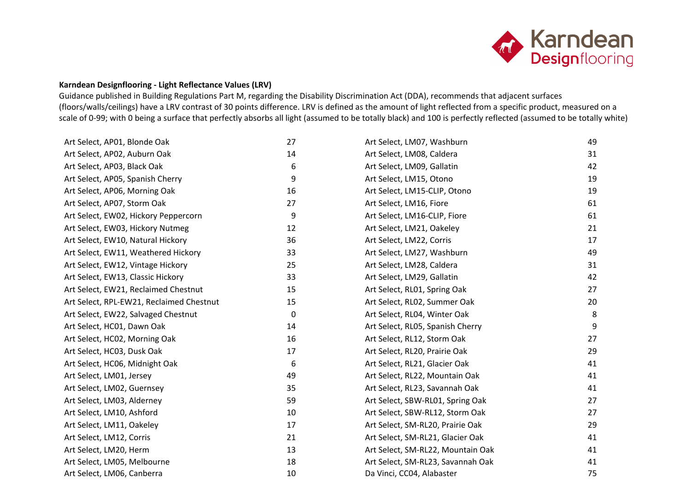

## **Karndean Designflooring - Light Reflectance Values (LRV)**

Guidance published in Building Regulations Part M, regarding the Disability Discrimination Act (DDA), recommends that adjacent surfaces (floors/walls/ceilings) have a LRV contrast of 30 points difference. LRV is defined as the amount of light reflected from a specific product, measured on a scale of 0-99; with 0 being a surface that perfectly absorbs all light (assumed to be totally black) and 100 is perfectly reflected (assumed to be totally white)

| Art Select, AP01, Blonde Oak             | 27 | Art Select, LM07, Washburn        | 49 |
|------------------------------------------|----|-----------------------------------|----|
| Art Select, AP02, Auburn Oak             | 14 | Art Select, LM08, Caldera         | 31 |
| Art Select, AP03, Black Oak              | 6  | Art Select, LM09, Gallatin        | 42 |
| Art Select, AP05, Spanish Cherry         | 9  | Art Select, LM15, Otono           | 19 |
| Art Select, AP06, Morning Oak            | 16 | Art Select, LM15-CLIP, Otono      | 19 |
| Art Select, AP07, Storm Oak              | 27 | Art Select, LM16, Fiore           | 61 |
| Art Select, EW02, Hickory Peppercorn     | 9  | Art Select, LM16-CLIP, Fiore      | 61 |
| Art Select, EW03, Hickory Nutmeg         | 12 | Art Select, LM21, Oakeley         | 21 |
| Art Select, EW10, Natural Hickory        | 36 | Art Select, LM22, Corris          | 17 |
| Art Select, EW11, Weathered Hickory      | 33 | Art Select, LM27, Washburn        | 49 |
| Art Select, EW12, Vintage Hickory        | 25 | Art Select, LM28, Caldera         | 31 |
| Art Select, EW13, Classic Hickory        | 33 | Art Select, LM29, Gallatin        | 42 |
| Art Select, EW21, Reclaimed Chestnut     | 15 | Art Select, RL01, Spring Oak      | 27 |
| Art Select, RPL-EW21, Reclaimed Chestnut | 15 | Art Select, RL02, Summer Oak      | 20 |
| Art Select, EW22, Salvaged Chestnut      | 0  | Art Select, RL04, Winter Oak      | 8  |
| Art Select, HC01, Dawn Oak               | 14 | Art Select, RL05, Spanish Cherry  | 9  |
| Art Select, HC02, Morning Oak            | 16 | Art Select, RL12, Storm Oak       | 27 |
| Art Select, HC03, Dusk Oak               | 17 | Art Select, RL20, Prairie Oak     | 29 |
| Art Select, HC06, Midnight Oak           | 6  | Art Select, RL21, Glacier Oak     | 41 |
| Art Select, LM01, Jersey                 | 49 | Art Select, RL22, Mountain Oak    | 41 |
| Art Select, LM02, Guernsey               | 35 | Art Select, RL23, Savannah Oak    | 41 |
| Art Select, LM03, Alderney               | 59 | Art Select, SBW-RL01, Spring Oak  | 27 |
| Art Select, LM10, Ashford                | 10 | Art Select, SBW-RL12, Storm Oak   | 27 |
| Art Select, LM11, Oakeley                | 17 | Art Select, SM-RL20, Prairie Oak  | 29 |
| Art Select, LM12, Corris                 | 21 | Art Select, SM-RL21, Glacier Oak  | 41 |
| Art Select, LM20, Herm                   | 13 | Art Select, SM-RL22, Mountain Oak | 41 |
| Art Select, LM05, Melbourne              | 18 | Art Select, SM-RL23, Savannah Oak | 41 |
| Art Select, LM06, Canberra               | 10 | Da Vinci, CC04, Alabaster         | 75 |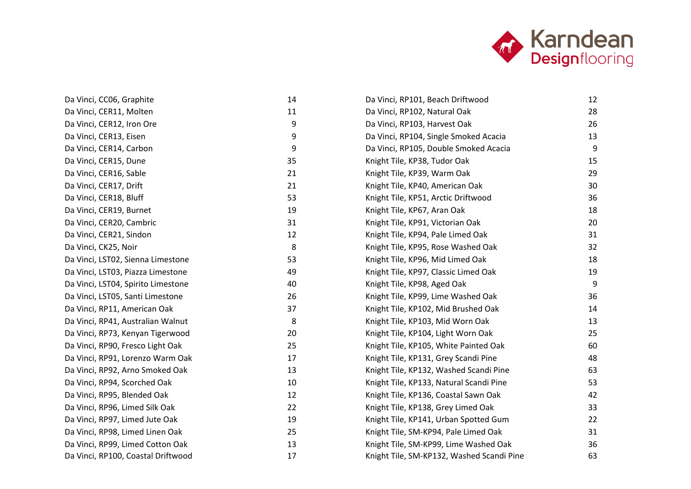

| Da Vinci, CC06, Graphite           | 14     | Da Vinci, RP101, Beach Driftwood          | 12 |
|------------------------------------|--------|-------------------------------------------|----|
| Da Vinci, CER11, Molten            | $11\,$ | Da Vinci, RP102, Natural Oak              | 28 |
| Da Vinci, CER12, Iron Ore          | 9      | Da Vinci, RP103, Harvest Oak              | 26 |
| Da Vinci, CER13, Eisen             | 9      | Da Vinci, RP104, Single Smoked Acacia     | 13 |
| Da Vinci, CER14, Carbon            | 9      | Da Vinci, RP105, Double Smoked Acacia     | 9  |
| Da Vinci, CER15, Dune              | 35     | Knight Tile, KP38, Tudor Oak              | 15 |
| Da Vinci, CER16, Sable             | 21     | Knight Tile, KP39, Warm Oak               | 29 |
| Da Vinci, CER17, Drift             | 21     | Knight Tile, KP40, American Oak           | 30 |
| Da Vinci, CER18, Bluff             | 53     | Knight Tile, KP51, Arctic Driftwood       | 36 |
| Da Vinci, CER19, Burnet            | 19     | Knight Tile, KP67, Aran Oak               | 18 |
| Da Vinci, CER20, Cambric           | 31     | Knight Tile, KP91, Victorian Oak          | 20 |
| Da Vinci, CER21, Sindon            | 12     | Knight Tile, KP94, Pale Limed Oak         | 31 |
| Da Vinci, CK25, Noir               | 8      | Knight Tile, KP95, Rose Washed Oak        | 32 |
| Da Vinci, LST02, Sienna Limestone  | 53     | Knight Tile, KP96, Mid Limed Oak          | 18 |
| Da Vinci, LST03, Piazza Limestone  | 49     | Knight Tile, KP97, Classic Limed Oak      | 19 |
| Da Vinci, LST04, Spirito Limestone | 40     | Knight Tile, KP98, Aged Oak               | 9  |
| Da Vinci, LST05, Santi Limestone   | 26     | Knight Tile, KP99, Lime Washed Oak        | 36 |
| Da Vinci, RP11, American Oak       | 37     | Knight Tile, KP102, Mid Brushed Oak       | 14 |
| Da Vinci, RP41, Australian Walnut  | 8      | Knight Tile, KP103, Mid Worn Oak          | 13 |
| Da Vinci, RP73, Kenyan Tigerwood   | 20     | Knight Tile, KP104, Light Worn Oak        | 25 |
| Da Vinci, RP90, Fresco Light Oak   | 25     | Knight Tile, KP105, White Painted Oak     | 60 |
| Da Vinci, RP91, Lorenzo Warm Oak   | 17     | Knight Tile, KP131, Grey Scandi Pine      | 48 |
| Da Vinci, RP92, Arno Smoked Oak    | 13     | Knight Tile, KP132, Washed Scandi Pine    | 63 |
| Da Vinci, RP94, Scorched Oak       | 10     | Knight Tile, KP133, Natural Scandi Pine   | 53 |
| Da Vinci, RP95, Blended Oak        | 12     | Knight Tile, KP136, Coastal Sawn Oak      | 42 |
| Da Vinci, RP96, Limed Silk Oak     | 22     | Knight Tile, KP138, Grey Limed Oak        | 33 |
| Da Vinci, RP97, Limed Jute Oak     | 19     | Knight Tile, KP141, Urban Spotted Gum     | 22 |
| Da Vinci, RP98, Limed Linen Oak    | 25     | Knight Tile, SM-KP94, Pale Limed Oak      | 31 |
| Da Vinci, RP99, Limed Cotton Oak   | 13     | Knight Tile, SM-KP99, Lime Washed Oak     | 36 |
| Da Vinci, RP100, Coastal Driftwood | 17     | Knight Tile, SM-KP132, Washed Scandi Pine | 63 |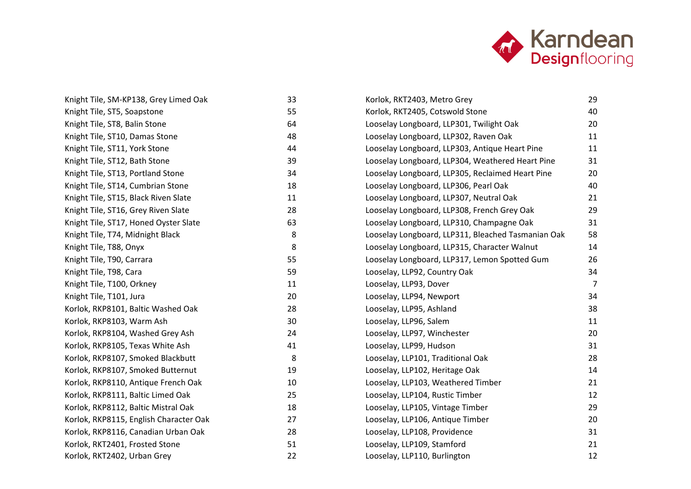

| Knight Tile, SM-KP138, Grey Limed Oak  | 33 |  |
|----------------------------------------|----|--|
| Knight Tile, ST5, Soapstone            | 55 |  |
| Knight Tile, ST8, Balin Stone          | 64 |  |
| Knight Tile, ST10, Damas Stone         | 48 |  |
| Knight Tile, ST11, York Stone          | 44 |  |
| Knight Tile, ST12, Bath Stone          | 39 |  |
| Knight Tile, ST13, Portland Stone      | 34 |  |
| Knight Tile, ST14, Cumbrian Stone      | 18 |  |
| Knight Tile, ST15, Black Riven Slate   | 11 |  |
| Knight Tile, ST16, Grey Riven Slate    | 28 |  |
| Knight Tile, ST17, Honed Oyster Slate  | 63 |  |
| Knight Tile, T74, Midnight Black       | 8  |  |
| Knight Tile, T88, Onyx                 | 8  |  |
| Knight Tile, T90, Carrara              | 55 |  |
| Knight Tile, T98, Cara                 | 59 |  |
| Knight Tile, T100, Orkney              | 11 |  |
| Knight Tile, T101, Jura                | 20 |  |
| Korlok, RKP8101, Baltic Washed Oak     | 28 |  |
| Korlok, RKP8103, Warm Ash              | 30 |  |
| Korlok, RKP8104, Washed Grey Ash       | 24 |  |
| Korlok, RKP8105, Texas White Ash       | 41 |  |
| Korlok, RKP8107, Smoked Blackbutt      | 8  |  |
| Korlok, RKP8107, Smoked Butternut      | 19 |  |
| Korlok, RKP8110, Antique French Oak    | 10 |  |
| Korlok, RKP8111, Baltic Limed Oak      | 25 |  |
| Korlok, RKP8112, Baltic Mistral Oak    | 18 |  |
| Korlok, RKP8115, English Character Oak | 27 |  |
| Korlok, RKP8116, Canadian Urban Oak    | 28 |  |
| Korlok, RKT2401, Frosted Stone         | 51 |  |
| Korlok, RKT2402, Urban Grey            | 22 |  |

| Korlok, RKT2403, Metro Grey                        | 29 |
|----------------------------------------------------|----|
| Korlok, RKT2405, Cotswold Stone                    | 40 |
| Looselay Longboard, LLP301, Twilight Oak           | 20 |
| Looselay Longboard, LLP302, Raven Oak              | 11 |
| Looselay Longboard, LLP303, Antique Heart Pine     | 11 |
| Looselay Longboard, LLP304, Weathered Heart Pine   | 31 |
| Looselay Longboard, LLP305, Reclaimed Heart Pine   | 20 |
| Looselay Longboard, LLP306, Pearl Oak              | 40 |
| Looselay Longboard, LLP307, Neutral Oak            | 21 |
| Looselay Longboard, LLP308, French Grey Oak        | 29 |
| Looselay Longboard, LLP310, Champagne Oak          | 31 |
| Looselay Longboard, LLP311, Bleached Tasmanian Oak | 58 |
| Looselay Longboard, LLP315, Character Walnut       | 14 |
| Looselay Longboard, LLP317, Lemon Spotted Gum      | 26 |
| Looselay, LLP92, Country Oak                       | 34 |
| Looselay, LLP93, Dover                             | 7  |
| Looselay, LLP94, Newport                           | 34 |
| Looselay, LLP95, Ashland                           | 38 |
| Looselay, LLP96, Salem                             | 11 |
| Looselay, LLP97, Winchester                        | 20 |
| Looselay, LLP99, Hudson                            | 31 |
| Looselay, LLP101, Traditional Oak                  | 28 |
| Looselay, LLP102, Heritage Oak                     | 14 |
| Looselay, LLP103, Weathered Timber                 | 21 |
| Looselay, LLP104, Rustic Timber                    | 12 |
| Looselay, LLP105, Vintage Timber                   | 29 |
| Looselay, LLP106, Antique Timber                   | 20 |
| Looselay, LLP108, Providence                       | 31 |
| Looselay, LLP109, Stamford                         | 21 |
| Looselay, LLP110, Burlington                       | 12 |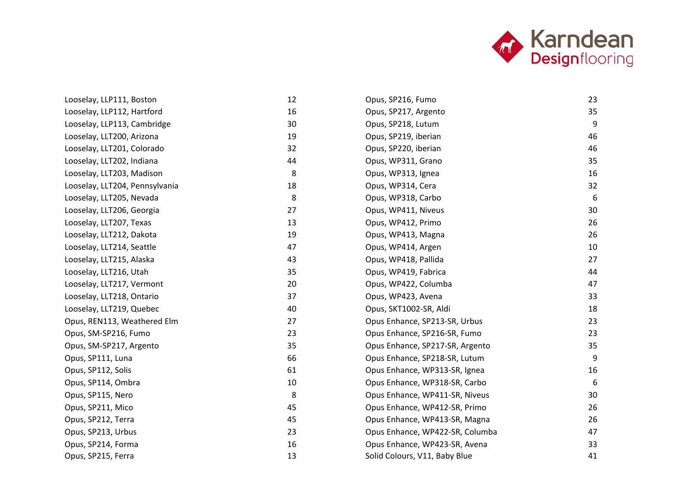

| Looselay, LLP111, Boston       | 12     | Opus, SP216, Fumo               | 23 |
|--------------------------------|--------|---------------------------------|----|
| Looselay, LLP112, Hartford     | 16     | Opus, SP217, Argento            | 35 |
| Looselay, LLP113, Cambridge    | 30     | Opus, SP218, Lutum              | 9  |
| Looselay, LLT200, Arizona      | 19     | Opus, SP219, iberian            | 46 |
| Looselay, LLT201, Colorado     | 32     | Opus, SP220, iberian            | 46 |
| Looselay, LLT202, Indiana      | 44     | Opus, WP311, Grano              | 35 |
| Looselay, LLT203, Madison      | 8      | Opus, WP313, Ignea              | 16 |
| Looselay, LLT204, Pennsylvania | 18     | Opus, WP314, Cera               | 32 |
| Looselay, LLT205, Nevada       | 8      | Opus, WP318, Carbo              | 6  |
| Looselay, LLT206, Georgia      | 27     | Opus, WP411, Niveus             | 30 |
| Looselay, LLT207, Texas        | 13     | Opus, WP412, Primo              | 26 |
| Looselay, LLT212, Dakota       | 19     | Opus, WP413, Magna              | 26 |
| Looselay, LLT214, Seattle      | 47     | Opus, WP414, Argen              | 10 |
| Looselay, LLT215, Alaska       | 43     | Opus, WP418, Pallida            | 27 |
| Looselay, LLT216, Utah         | 35     | Opus, WP419, Fabrica            | 44 |
| Looselay, LLT217, Vermont      | 20     | Opus, WP422, Columba            | 47 |
| Looselay, LLT218, Ontario      | 37     | Opus, WP423, Avena              | 33 |
| Looselay, LLT219, Quebec       | 40     | Opus, SKT1002-SR, Aldi          | 18 |
| Opus, REN113, Weathered Elm    | 27     | Opus Enhance, SP213-SR, Urbus   | 23 |
| Opus, SM-SP216, Fumo           | 23     | Opus Enhance, SP216-SR, Fumo    | 23 |
| Opus, SM-SP217, Argento        | 35     | Opus Enhance, SP217-SR, Argento | 35 |
| Opus, SP111, Luna              | 66     | Opus Enhance, SP218-SR, Lutum   | 9  |
| Opus, SP112, Solis             | 61     | Opus Enhance, WP313-SR, Ignea   | 16 |
| Opus, SP114, Ombra             | $10\,$ | Opus Enhance, WP318-SR, Carbo   | 6  |
| Opus, SP115, Nero              | 8      | Opus Enhance, WP411-SR, Niveus  | 30 |
| Opus, SP211, Mico              | 45     | Opus Enhance, WP412-SR, Primo   | 26 |
| Opus, SP212, Terra             | 45     | Opus Enhance, WP413-SR, Magna   | 26 |
| Opus, SP213, Urbus             | 23     | Opus Enhance, WP422-SR, Columba | 47 |
| Opus, SP214, Forma             | 16     | Opus Enhance, WP423-SR, Avena   | 33 |
| Opus, SP215, Ferra             | 13     | Solid Colours, V11, Baby Blue   | 41 |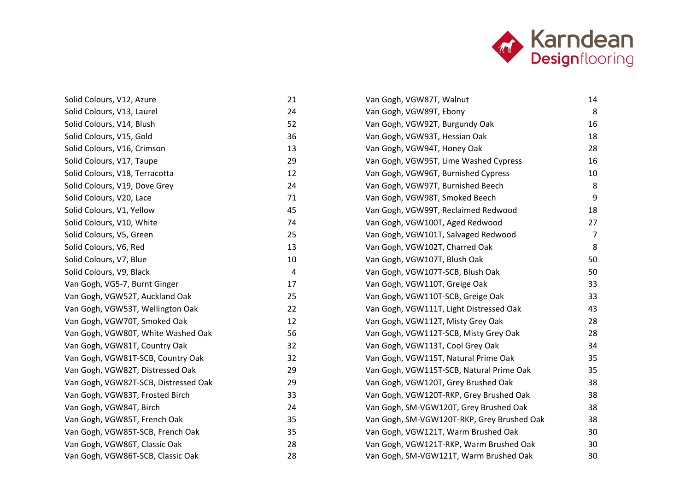

| Solid Colours, V12, Azure            | 21 |
|--------------------------------------|----|
| Solid Colours, V13, Laurel           | 24 |
| Solid Colours, V14, Blush            | 52 |
| Solid Colours, V15, Gold             | 36 |
| Solid Colours, V16, Crimson          | 13 |
| Solid Colours, V17, Taupe            | 29 |
| Solid Colours, V18, Terracotta       | 12 |
| Solid Colours, V19, Dove Grey        | 24 |
| Solid Colours, V20, Lace             | 71 |
| Solid Colours, V1, Yellow            | 45 |
| Solid Colours, V10, White            | 74 |
| Solid Colours, V5, Green             | 25 |
| Solid Colours, V6, Red               | 13 |
| Solid Colours, V7, Blue              | 10 |
| Solid Colours, V9, Black             | 4  |
| Van Gogh, VG5-7, Burnt Ginger        | 17 |
| Van Gogh, VGW52T, Auckland Oak       | 25 |
| Van Gogh, VGW53T, Wellington Oak     | 22 |
| Van Gogh, VGW70T, Smoked Oak         | 12 |
| Van Gogh, VGW80T, White Washed Oak   | 56 |
| Van Gogh, VGW81T, Country Oak        | 32 |
| Van Gogh, VGW81T-SCB, Country Oak    | 32 |
| Van Gogh, VGW82T, Distressed Oak     | 29 |
| Van Gogh, VGW82T-SCB, Distressed Oak | 29 |
| Van Gogh, VGW83T, Frosted Birch      | 33 |
| Van Gogh, VGW84T, Birch              | 24 |
| Van Gogh, VGW85T, French Oak         | 35 |
| Van Gogh, VGW85T-SCB, French Oak     | 35 |
| Van Gogh, VGW86T, Classic Oak        | 28 |
| Van Gogh, VGW86T-SCB, Classic Oak    | 28 |

| Van Gogh, VGW87T, Walnut                   | 14 |  |
|--------------------------------------------|----|--|
| Van Gogh, VGW89T, Ebony                    | 8  |  |
| Van Gogh, VGW92T, Burgundy Oak             | 16 |  |
| Van Gogh, VGW93T, Hessian Oak              | 18 |  |
| Van Gogh, VGW94T, Honey Oak                | 28 |  |
| Van Gogh, VGW95T, Lime Washed Cypress      | 16 |  |
| Van Gogh, VGW96T, Burnished Cypress        | 10 |  |
| Van Gogh, VGW97T, Burnished Beech          | 8  |  |
| Van Gogh, VGW98T, Smoked Beech             | 9  |  |
| Van Gogh, VGW99T, Reclaimed Redwood        | 18 |  |
| Van Gogh, VGW100T, Aged Redwood            | 27 |  |
| Van Gogh, VGW101T, Salvaged Redwood        | 7  |  |
| Van Gogh, VGW102T, Charred Oak             | 8  |  |
| Van Gogh, VGW107T, Blush Oak               | 50 |  |
| Van Gogh, VGW107T-SCB, Blush Oak           | 50 |  |
| Van Gogh, VGW110T, Greige Oak              | 33 |  |
| Van Gogh, VGW110T-SCB, Greige Oak          | 33 |  |
| Van Gogh, VGW111T, Light Distressed Oak    | 43 |  |
| Van Gogh, VGW112T, Misty Grey Oak          | 28 |  |
| Van Gogh, VGW112T-SCB, Misty Grey Oak      | 28 |  |
| Van Gogh, VGW113T, Cool Grey Oak           | 34 |  |
| Van Gogh, VGW115T, Natural Prime Oak       | 35 |  |
| Van Gogh, VGW115T-SCB, Natural Prime Oak   | 35 |  |
| Van Gogh, VGW120T, Grey Brushed Oak        | 38 |  |
| Van Gogh, VGW120T-RKP, Grey Brushed Oak    | 38 |  |
| Van Gogh, SM-VGW120T, Grey Brushed Oak     | 38 |  |
| Van Gogh, SM-VGW120T-RKP, Grey Brushed Oak | 38 |  |
| Van Gogh, VGW121T, Warm Brushed Oak        | 30 |  |
| Van Gogh, VGW121T-RKP, Warm Brushed Oak    | 30 |  |
| Van Gogh, SM-VGW121T, Warm Brushed Oak     | 30 |  |